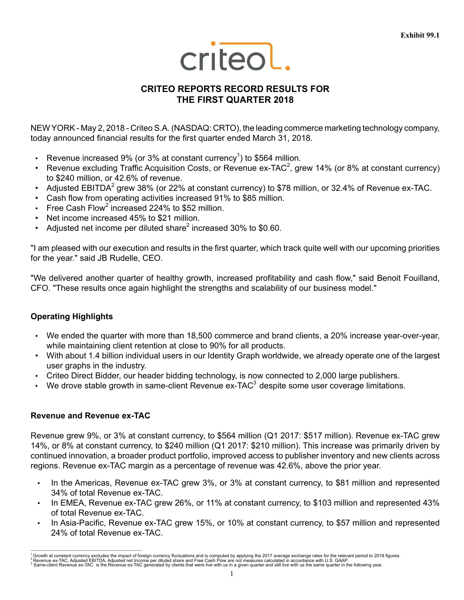

# **CRITEO REPORTS RECORD RESULTS FOR THE FIRST QUARTER 2018**

NEW YORK - May 2, 2018 - Criteo S.A. (NASDAQ: CRTO), the leading commerce marketing technology company, today announced financial results for the first quarter ended March 31, 2018.

- Revenue increased 9% (or 3% at constant currency<sup>1</sup>) to \$564 million.
- Revenue excluding Traffic Acquisition Costs, or Revenue ex-TAC<sup>2</sup>, grew 14% (or 8% at constant currency) to \$240 million, or 42.6% of revenue.
- Adjusted EBITDA<sup>2</sup> grew 38% (or 22% at constant currency) to \$78 million, or 32.4% of Revenue ex-TAC.
- Cash flow from operating activities increased 91% to \$85 million.
- Free Cash Flow<sup>2</sup> increased 224% to \$52 million.
- Net income increased 45% to \$21 million.
- Adjusted net income per diluted share<sup>2</sup> increased 30% to \$0.60.

"I am pleased with our execution and results in the first quarter, which track quite well with our upcoming priorities for the year." said JB Rudelle, CEO.

"We delivered another quarter of healthy growth, increased profitability and cash flow," said Benoit Fouilland, CFO. "These results once again highlight the strengths and scalability of our business model."

# **Operating Highlights**

- We ended the quarter with more than 18,500 commerce and brand clients, a 20% increase year-over-year, while maintaining client retention at close to 90% for all products.
- With about 1.4 billion individual users in our Identity Graph worldwide, we already operate one of the largest user graphs in the industry.
- Criteo Direct Bidder, our header bidding technology, is now connected to 2,000 large publishers.
- We drove stable growth in same-client Revenue  $ex$ -TAC $3$  despite some user coverage limitations.

## **Revenue and Revenue ex-TAC**

\_\_\_\_\_\_\_\_\_\_\_\_\_\_\_\_\_\_\_\_\_\_\_\_\_\_\_\_\_\_\_\_\_\_\_\_\_\_\_\_\_\_\_\_\_\_\_\_\_\_\_

Revenue grew 9%, or 3% at constant currency, to \$564 million (Q1 2017: \$517 million). Revenue ex-TAC grew 14%, or 8% at constant currency, to \$240 million (Q1 2017: \$210 million). This increase was primarily driven by continued innovation, a broader product portfolio, improved access to publisher inventory and new clients across regions. Revenue ex-TAC margin as a percentage of revenue was 42.6%, above the prior year.

- In the Americas, Revenue ex-TAC grew 3%, or 3% at constant currency, to \$81 million and represented 34% of total Revenue ex-TAC.
- In EMEA, Revenue ex-TAC grew 26%, or 11% at constant currency, to \$103 million and represented 43% of total Revenue ex-TAC.
- In Asia-Pacific, Revenue ex-TAC grew 15%, or 10% at constant currency, to \$57 million and represented 24% of total Revenue ex-TAC.

<sup>&</sup>lt;sup>1</sup> Growth at constant currency excludes the impact of foreign currency fluctuations and is computed by applying the 2017 average exchange rates for the relevant period to 2018 figures.<br><sup>2</sup> Revenue ex-TAC, Adjusted EBITDA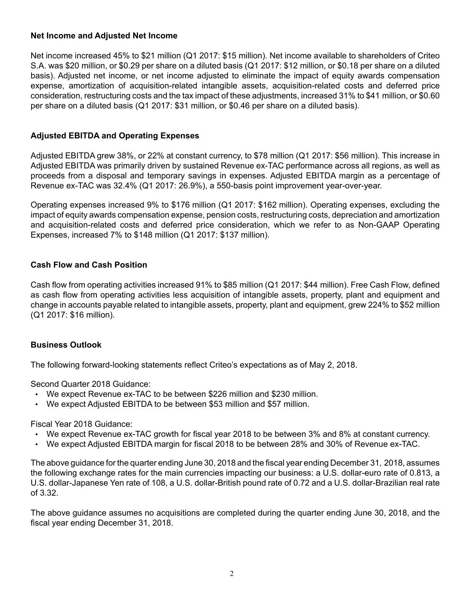## **Net Income and Adjusted Net Income**

Net income increased 45% to \$21 million (Q1 2017: \$15 million). Net income available to shareholders of Criteo S.A. was \$20 million, or \$0.29 per share on a diluted basis (Q1 2017: \$12 million, or \$0.18 per share on a diluted basis). Adjusted net income, or net income adjusted to eliminate the impact of equity awards compensation expense, amortization of acquisition-related intangible assets, acquisition-related costs and deferred price consideration, restructuring costs and the tax impact of these adjustments, increased 31% to \$41 million, or \$0.60 per share on a diluted basis (Q1 2017: \$31 million, or \$0.46 per share on a diluted basis).

# **Adjusted EBITDA and Operating Expenses**

Adjusted EBITDA grew 38%, or 22% at constant currency, to \$78 million (Q1 2017: \$56 million). This increase in Adjusted EBITDA was primarily driven by sustained Revenue ex-TAC performance across all regions, as well as proceeds from a disposal and temporary savings in expenses. Adjusted EBITDA margin as a percentage of Revenue ex-TAC was 32.4% (Q1 2017: 26.9%), a 550-basis point improvement year-over-year.

Operating expenses increased 9% to \$176 million (Q1 2017: \$162 million). Operating expenses, excluding the impact of equity awards compensation expense, pension costs, restructuring costs, depreciation and amortization and acquisition-related costs and deferred price consideration, which we refer to as Non-GAAP Operating Expenses, increased 7% to \$148 million (Q1 2017: \$137 million).

# **Cash Flow and Cash Position**

Cash flow from operating activities increased 91% to \$85 million (Q1 2017: \$44 million). Free Cash Flow, defined as cash flow from operating activities less acquisition of intangible assets, property, plant and equipment and change in accounts payable related to intangible assets, property, plant and equipment, grew 224% to \$52 million (Q1 2017: \$16 million).

## **Business Outlook**

The following forward-looking statements reflect Criteo's expectations as of May 2, 2018.

Second Quarter 2018 Guidance:

- We expect Revenue ex-TAC to be between \$226 million and \$230 million.
- We expect Adjusted EBITDA to be between \$53 million and \$57 million.

Fiscal Year 2018 Guidance:

- We expect Revenue ex-TAC growth for fiscal year 2018 to be between 3% and 8% at constant currency.
- We expect Adjusted EBITDA margin for fiscal 2018 to be between 28% and 30% of Revenue ex-TAC.

The above guidance for the quarter ending June 30, 2018 and the fiscal year ending December 31, 2018, assumes the following exchange rates for the main currencies impacting our business: a U.S. dollar-euro rate of 0.813, a U.S. dollar-Japanese Yen rate of 108, a U.S. dollar-British pound rate of 0.72 and a U.S. dollar-Brazilian real rate of 3.32.

The above guidance assumes no acquisitions are completed during the quarter ending June 30, 2018, and the fiscal year ending December 31, 2018.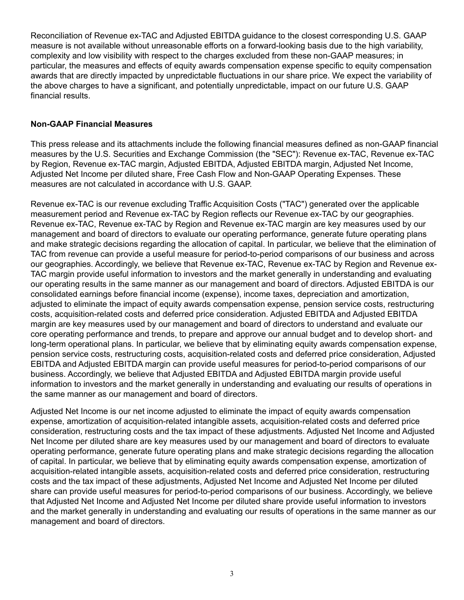Reconciliation of Revenue ex-TAC and Adjusted EBITDA guidance to the closest corresponding U.S. GAAP measure is not available without unreasonable efforts on a forward-looking basis due to the high variability, complexity and low visibility with respect to the charges excluded from these non-GAAP measures; in particular, the measures and effects of equity awards compensation expense specific to equity compensation awards that are directly impacted by unpredictable fluctuations in our share price. We expect the variability of the above charges to have a significant, and potentially unpredictable, impact on our future U.S. GAAP financial results.

# **Non-GAAP Financial Measures**

This press release and its attachments include the following financial measures defined as non-GAAP financial measures by the U.S. Securities and Exchange Commission (the "SEC"): Revenue ex-TAC, Revenue ex-TAC by Region, Revenue ex-TAC margin, Adjusted EBITDA, Adjusted EBITDA margin, Adjusted Net Income, Adjusted Net Income per diluted share, Free Cash Flow and Non-GAAP Operating Expenses. These measures are not calculated in accordance with U.S. GAAP.

Revenue ex-TAC is our revenue excluding Traffic Acquisition Costs ("TAC") generated over the applicable measurement period and Revenue ex-TAC by Region reflects our Revenue ex-TAC by our geographies. Revenue ex-TAC, Revenue ex-TAC by Region and Revenue ex-TAC margin are key measures used by our management and board of directors to evaluate our operating performance, generate future operating plans and make strategic decisions regarding the allocation of capital. In particular, we believe that the elimination of TAC from revenue can provide a useful measure for period-to-period comparisons of our business and across our geographies. Accordingly, we believe that Revenue ex-TAC, Revenue ex-TAC by Region and Revenue ex-TAC margin provide useful information to investors and the market generally in understanding and evaluating our operating results in the same manner as our management and board of directors. Adjusted EBITDA is our consolidated earnings before financial income (expense), income taxes, depreciation and amortization, adjusted to eliminate the impact of equity awards compensation expense, pension service costs, restructuring costs, acquisition-related costs and deferred price consideration. Adjusted EBITDA and Adjusted EBITDA margin are key measures used by our management and board of directors to understand and evaluate our core operating performance and trends, to prepare and approve our annual budget and to develop short- and long-term operational plans. In particular, we believe that by eliminating equity awards compensation expense, pension service costs, restructuring costs, acquisition-related costs and deferred price consideration, Adjusted EBITDA and Adjusted EBITDA margin can provide useful measures for period-to-period comparisons of our business. Accordingly, we believe that Adjusted EBITDA and Adjusted EBITDA margin provide useful information to investors and the market generally in understanding and evaluating our results of operations in the same manner as our management and board of directors.

Adjusted Net Income is our net income adjusted to eliminate the impact of equity awards compensation expense, amortization of acquisition-related intangible assets, acquisition-related costs and deferred price consideration, restructuring costs and the tax impact of these adjustments. Adjusted Net Income and Adjusted Net Income per diluted share are key measures used by our management and board of directors to evaluate operating performance, generate future operating plans and make strategic decisions regarding the allocation of capital. In particular, we believe that by eliminating equity awards compensation expense, amortization of acquisition-related intangible assets, acquisition-related costs and deferred price consideration, restructuring costs and the tax impact of these adjustments, Adjusted Net Income and Adjusted Net Income per diluted share can provide useful measures for period-to-period comparisons of our business. Accordingly, we believe that Adjusted Net Income and Adjusted Net Income per diluted share provide useful information to investors and the market generally in understanding and evaluating our results of operations in the same manner as our management and board of directors.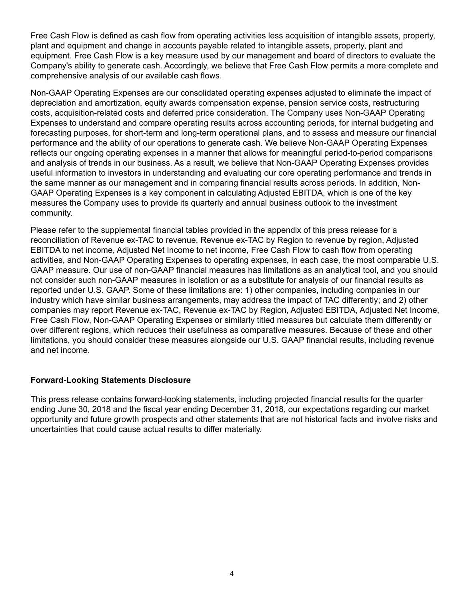Free Cash Flow is defined as cash flow from operating activities less acquisition of intangible assets, property, plant and equipment and change in accounts payable related to intangible assets, property, plant and equipment. Free Cash Flow is a key measure used by our management and board of directors to evaluate the Company's ability to generate cash. Accordingly, we believe that Free Cash Flow permits a more complete and comprehensive analysis of our available cash flows.

Non-GAAP Operating Expenses are our consolidated operating expenses adjusted to eliminate the impact of depreciation and amortization, equity awards compensation expense, pension service costs, restructuring costs, acquisition-related costs and deferred price consideration. The Company uses Non-GAAP Operating Expenses to understand and compare operating results across accounting periods, for internal budgeting and forecasting purposes, for short-term and long-term operational plans, and to assess and measure our financial performance and the ability of our operations to generate cash. We believe Non-GAAP Operating Expenses reflects our ongoing operating expenses in a manner that allows for meaningful period-to-period comparisons and analysis of trends in our business. As a result, we believe that Non-GAAP Operating Expenses provides useful information to investors in understanding and evaluating our core operating performance and trends in the same manner as our management and in comparing financial results across periods. In addition, Non-GAAP Operating Expenses is a key component in calculating Adjusted EBITDA, which is one of the key measures the Company uses to provide its quarterly and annual business outlook to the investment community.

Please refer to the supplemental financial tables provided in the appendix of this press release for a reconciliation of Revenue ex-TAC to revenue, Revenue ex-TAC by Region to revenue by region, Adjusted EBITDA to net income, Adjusted Net Income to net income, Free Cash Flow to cash flow from operating activities, and Non-GAAP Operating Expenses to operating expenses, in each case, the most comparable U.S. GAAP measure. Our use of non-GAAP financial measures has limitations as an analytical tool, and you should not consider such non-GAAP measures in isolation or as a substitute for analysis of our financial results as reported under U.S. GAAP. Some of these limitations are: 1) other companies, including companies in our industry which have similar business arrangements, may address the impact of TAC differently; and 2) other companies may report Revenue ex-TAC, Revenue ex-TAC by Region, Adjusted EBITDA, Adjusted Net Income, Free Cash Flow, Non-GAAP Operating Expenses or similarly titled measures but calculate them differently or over different regions, which reduces their usefulness as comparative measures. Because of these and other limitations, you should consider these measures alongside our U.S. GAAP financial results, including revenue and net income.

## **Forward-Looking Statements Disclosure**

This press release contains forward-looking statements, including projected financial results for the quarter ending June 30, 2018 and the fiscal year ending December 31, 2018, our expectations regarding our market opportunity and future growth prospects and other statements that are not historical facts and involve risks and uncertainties that could cause actual results to differ materially.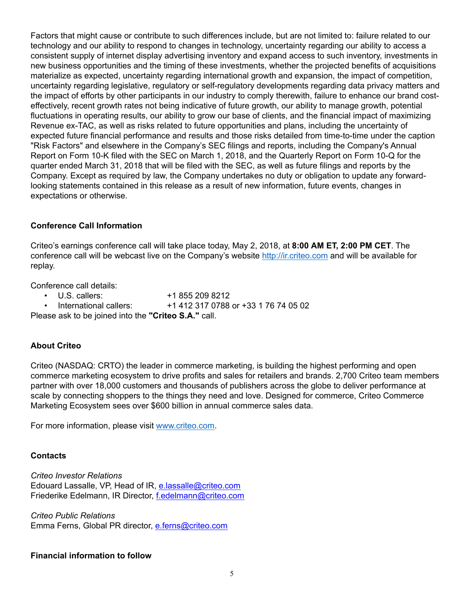Factors that might cause or contribute to such differences include, but are not limited to: failure related to our technology and our ability to respond to changes in technology, uncertainty regarding our ability to access a consistent supply of internet display advertising inventory and expand access to such inventory, investments in new business opportunities and the timing of these investments, whether the projected benefits of acquisitions materialize as expected, uncertainty regarding international growth and expansion, the impact of competition, uncertainty regarding legislative, regulatory or self-regulatory developments regarding data privacy matters and the impact of efforts by other participants in our industry to comply therewith, failure to enhance our brand costeffectively, recent growth rates not being indicative of future growth, our ability to manage growth, potential fluctuations in operating results, our ability to grow our base of clients, and the financial impact of maximizing Revenue ex-TAC, as well as risks related to future opportunities and plans, including the uncertainty of expected future financial performance and results and those risks detailed from time-to-time under the caption "Risk Factors" and elsewhere in the Company's SEC filings and reports, including the Company's Annual Report on Form 10-K filed with the SEC on March 1, 2018, and the Quarterly Report on Form 10-Q for the quarter ended March 31, 2018 that will be filed with the SEC, as well as future filings and reports by the Company. Except as required by law, the Company undertakes no duty or obligation to update any forwardlooking statements contained in this release as a result of new information, future events, changes in expectations or otherwise.

# **Conference Call Information**

Criteo's earnings conference call will take place today, May 2, 2018, at **8:00 AM ET, 2:00 PM CET**. The conference call will be webcast live on the Company's website http://ir.criteo.com and will be available for replay.

Conference call details:

- U.S. callers: +1 855 209 8212
- International callers: +1 412 317 0788 or +33 1 76 74 05 02

Please ask to be joined into the **"Criteo S.A."** call.

# **About Criteo**

Criteo (NASDAQ: CRTO) the leader in commerce marketing, is building the highest performing and open commerce marketing ecosystem to drive profits and sales for retailers and brands. 2,700 Criteo team members partner with over 18,000 customers and thousands of publishers across the globe to deliver performance at scale by connecting shoppers to the things they need and love. Designed for commerce, Criteo Commerce Marketing Ecosystem sees over \$600 billion in annual commerce sales data.

For more information, please visit www.criteo.com.

## **Contacts**

*Criteo Investor Relations* Edouard Lassalle, VP, Head of IR, e.lassalle@criteo.com Friederike Edelmann, IR Director, f.edelmann@criteo.com

*Criteo Public Relations* Emma Ferns, Global PR director, e.ferns@criteo.com

## **Financial information to follow**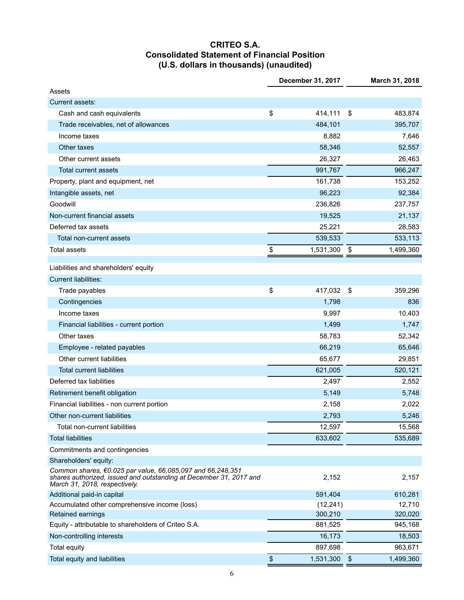# **CRITEO S.A. Consolidated Statement of Financial Position (U.S. dollars in thousands) (unaudited)**

|                                                                                                                                                                   | December 31, 2017       |           |               | March 31, 2018 |
|-------------------------------------------------------------------------------------------------------------------------------------------------------------------|-------------------------|-----------|---------------|----------------|
| Assets                                                                                                                                                            |                         |           |               |                |
| Current assets:                                                                                                                                                   |                         |           |               |                |
| Cash and cash equivalents                                                                                                                                         | \$                      | 414,111   | -\$           | 483,874        |
| Trade receivables, net of allowances                                                                                                                              |                         | 484,101   |               | 395,707        |
| Income taxes                                                                                                                                                      |                         | 8,882     |               | 7,646          |
| Other taxes                                                                                                                                                       |                         | 58,346    |               | 52,557         |
| Other current assets                                                                                                                                              |                         | 26,327    |               | 26,463         |
| Total current assets                                                                                                                                              |                         | 991,767   |               | 966,247        |
| Property, plant and equipment, net                                                                                                                                |                         | 161,738   |               | 153,252        |
| Intangible assets, net                                                                                                                                            |                         | 96,223    |               | 92,384         |
| Goodwill                                                                                                                                                          |                         | 236,826   |               | 237,757        |
| Non-current financial assets                                                                                                                                      |                         | 19,525    |               | 21,137         |
| Deferred tax assets                                                                                                                                               |                         | 25,221    |               | 28,583         |
| Total non-current assets                                                                                                                                          |                         | 539,533   |               | 533,113        |
| <b>Total assets</b>                                                                                                                                               | \$                      | 1,531,300 | \$            | 1,499,360      |
|                                                                                                                                                                   |                         |           |               |                |
| Liabilities and shareholders' equity                                                                                                                              |                         |           |               |                |
| <b>Current liabilities:</b>                                                                                                                                       |                         |           |               |                |
| Trade payables                                                                                                                                                    | \$                      | 417,032   | -\$           | 359,296        |
| Contingencies                                                                                                                                                     |                         | 1,798     |               | 836            |
| Income taxes                                                                                                                                                      |                         | 9,997     |               | 10,403         |
| Financial liabilities - current portion                                                                                                                           |                         | 1,499     |               | 1,747          |
| Other taxes                                                                                                                                                       |                         | 58,783    |               | 52,342         |
| Employee - related payables                                                                                                                                       |                         | 66,219    |               | 65,646         |
| Other current liabilities                                                                                                                                         |                         | 65,677    |               | 29,851         |
| <b>Total current liabilities</b>                                                                                                                                  |                         | 621,005   |               | 520,121        |
| Deferred tax liabilities                                                                                                                                          |                         | 2,497     |               | 2,552          |
| Retirement benefit obligation                                                                                                                                     |                         | 5,149     |               | 5,748          |
| Financial liabilities - non current portion                                                                                                                       |                         | 2,158     |               | 2,022          |
| Other non-current liabilities                                                                                                                                     |                         | 2,793     |               | 5,246          |
| Total non-current liabilities                                                                                                                                     |                         | 12,597    |               | 15,568         |
| <b>Total liabilities</b>                                                                                                                                          |                         | 633,602   |               | 535,689        |
| Commitments and contingencies                                                                                                                                     |                         |           |               |                |
| Shareholders' equity:                                                                                                                                             |                         |           |               |                |
| Common shares, €0.025 par value, 66,085,097 and 66,248,351<br>shares authorized, issued and outstanding at December 31, 2017 and<br>March 31, 2018, respectively. |                         | 2,152     |               | 2,157          |
| Additional paid-in capital                                                                                                                                        |                         | 591,404   |               | 610,281        |
| Accumulated other comprehensive income (loss)                                                                                                                     |                         | (12, 241) |               | 12,710         |
| Retained earnings                                                                                                                                                 |                         | 300,210   |               | 320,020        |
| Equity - attributable to shareholders of Criteo S.A.                                                                                                              |                         | 881,525   |               | 945,168        |
| Non-controlling interests                                                                                                                                         |                         | 16,173    |               | 18,503         |
| Total equity                                                                                                                                                      |                         | 897,698   |               | 963,671        |
| Total equity and liabilities                                                                                                                                      | $\sqrt[6]{\frac{1}{2}}$ | 1,531,300 | $\sqrt[6]{3}$ | 1,499,360      |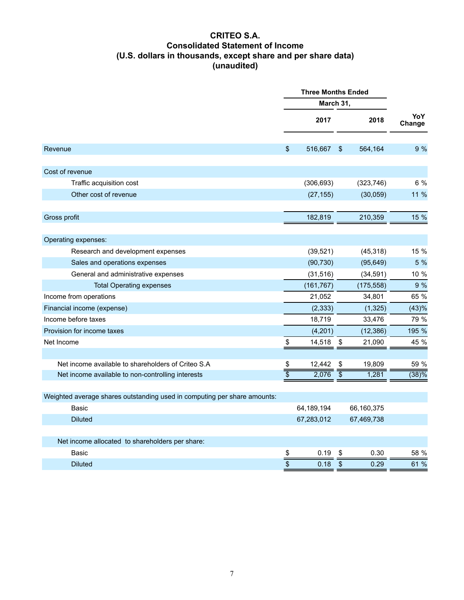# **CRITEO S.A. Consolidated Statement of Income (U.S. dollars in thousands, except share and per share data) (unaudited)**

|                                                                          |                 | <b>Three Months Ended</b> |                         |            |               |
|--------------------------------------------------------------------------|-----------------|---------------------------|-------------------------|------------|---------------|
|                                                                          |                 | March 31,                 |                         |            |               |
|                                                                          |                 | 2017                      |                         | 2018       | YoY<br>Change |
| Revenue                                                                  | \$              | 516,667                   | $\sqrt[6]{\frac{1}{2}}$ | 564,164    | 9 %           |
| Cost of revenue                                                          |                 |                           |                         |            |               |
| Traffic acquisition cost                                                 |                 | (306, 693)                |                         | (323, 746) | 6 %           |
| Other cost of revenue                                                    |                 | (27, 155)                 |                         | (30, 059)  | 11 %          |
| Gross profit                                                             |                 | 182,819                   |                         | 210,359    | 15 %          |
| Operating expenses:                                                      |                 |                           |                         |            |               |
| Research and development expenses                                        |                 | (39, 521)                 |                         | (45, 318)  | 15 %          |
| Sales and operations expenses                                            |                 | (90, 730)                 |                         | (95, 649)  | 5 %           |
| General and administrative expenses                                      |                 | (31, 516)                 |                         | (34, 591)  | 10 %          |
| <b>Total Operating expenses</b>                                          |                 | (161, 767)                |                         | (175, 558) | 9 %           |
| Income from operations                                                   |                 | 21,052                    |                         | 34,801     | 65 %          |
| Financial income (expense)                                               |                 | (2, 333)                  |                         | (1, 325)   | (43)%         |
| Income before taxes                                                      |                 | 18,719                    |                         | 33,476     | 79 %          |
| Provision for income taxes                                               |                 | (4,201)                   |                         | (12, 386)  | 195 %         |
| Net Income                                                               | \$              | 14,518                    | \$                      | 21,090     | 45 %          |
| Net income available to shareholders of Criteo S.A                       | \$              | 12,442                    | \$                      | 19,809     | 59 %          |
| Net income available to non-controlling interests                        | $\overline{\$}$ | 2,076                     | $\overline{\$}$         | 1,281      | (38)%         |
| Weighted average shares outstanding used in computing per share amounts: |                 |                           |                         |            |               |
| <b>Basic</b>                                                             |                 | 64,189,194                |                         | 66,160,375 |               |
| <b>Diluted</b>                                                           |                 | 67,283,012                |                         | 67,469,738 |               |
| Net income allocated to shareholders per share:                          |                 |                           |                         |            |               |
| Basic                                                                    | \$              | 0.19                      | \$                      | 0.30       | 58 %          |
| <b>Diluted</b>                                                           | \$              | 0.18                      | \$                      | 0.29       | 61 %          |
|                                                                          |                 |                           |                         |            |               |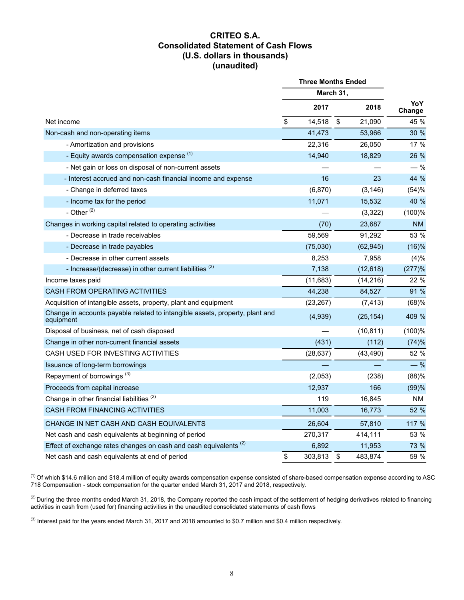## **CRITEO S.A. Consolidated Statement of Cash Flows (U.S. dollars in thousands) (unaudited)**

|                                                                                           | <b>Three Months Ended</b> |    |           |               |
|-------------------------------------------------------------------------------------------|---------------------------|----|-----------|---------------|
|                                                                                           | March 31,                 |    |           |               |
|                                                                                           | 2017                      |    | 2018      | YoY<br>Change |
| Net income                                                                                | \$<br>14,518              | \$ | 21,090    | 45 %          |
| Non-cash and non-operating items                                                          | 41,473                    |    | 53,966    | 30 %          |
| - Amortization and provisions                                                             | 22,316                    |    | 26,050    | 17 %          |
| - Equity awards compensation expense (1)                                                  | 14,940                    |    | 18,829    | 26 %          |
| - Net gain or loss on disposal of non-current assets                                      |                           |    |           | $-$ %         |
| - Interest accrued and non-cash financial income and expense                              | 16                        |    | 23        | 44 %          |
| - Change in deferred taxes                                                                | (6, 870)                  |    | (3, 146)  | (54)%         |
| - Income tax for the period                                                               | 11,071                    |    | 15,532    | 40 %          |
| - Other $(2)$                                                                             |                           |    | (3,322)   | (100)%        |
| Changes in working capital related to operating activities                                | (70)                      |    | 23,687    | <b>NM</b>     |
| - Decrease in trade receivables                                                           | 59,569                    |    | 91,292    | 53 %          |
| - Decrease in trade payables                                                              | (75,030)                  |    | (62, 945) | (16)%         |
| - Decrease in other current assets                                                        | 8,253                     |    | 7,958     | (4)%          |
| - Increase/(decrease) in other current liabilities <sup>(2)</sup>                         | 7,138                     |    | (12, 618) | (277)%        |
| Income taxes paid                                                                         | (11, 683)                 |    | (14, 216) | 22 %          |
| CASH FROM OPERATING ACTIVITIES                                                            | 44,238                    |    | 84,527    | 91 %          |
| Acquisition of intangible assets, property, plant and equipment                           | (23, 267)                 |    | (7, 413)  | (68)%         |
| Change in accounts payable related to intangible assets, property, plant and<br>equipment | (4,939)                   |    | (25, 154) | 409 %         |
| Disposal of business, net of cash disposed                                                |                           |    | (10, 811) | (100)%        |
| Change in other non-current financial assets                                              | (431)                     |    | (112)     | (74)%         |
| CASH USED FOR INVESTING ACTIVITIES                                                        | (28, 637)                 |    | (43, 490) | 52 %          |
| Issuance of long-term borrowings                                                          |                           |    |           | $-$ %         |
| Repayment of borrowings <sup>(3)</sup>                                                    | (2,053)                   |    | (238)     | (88)%         |
| Proceeds from capital increase                                                            | 12,937                    |    | 166       | (99)%         |
| Change in other financial liabilities <sup>(2)</sup>                                      | 119                       |    | 16,845    | NM.           |
| <b>CASH FROM FINANCING ACTIVITIES</b>                                                     | 11,003                    |    | 16,773    | 52 %          |
| CHANGE IN NET CASH AND CASH EQUIVALENTS                                                   | 26,604                    |    | 57,810    | 117 %         |
| Net cash and cash equivalents at beginning of period                                      | 270,317                   |    | 414,111   | 53 %          |
| Effect of exchange rates changes on cash and cash equivalents <sup>(2)</sup>              | 6,892                     |    | 11,953    | 73 %          |
| Net cash and cash equivalents at end of period                                            | \$<br>303,813             | \$ | 483,874   | 59 %          |

 $^{(1)}$  Of which \$14.6 million and \$18.4 million of equity awards compensation expense consisted of share-based compensation expense according to ASC 718 Compensation - stock compensation for the quarter ended March 31, 2017 and 2018, respectively.

 $^{(2)}$  During the three months ended March 31, 2018, the Company reported the cash impact of the settlement of hedging derivatives related to financing activities in cash from (used for) financing activities in the unaudited consolidated statements of cash flows

<sup>(3)</sup> Interest paid for the years ended March 31, 2017 and 2018 amounted to \$0.7 million and \$0.4 million respectively.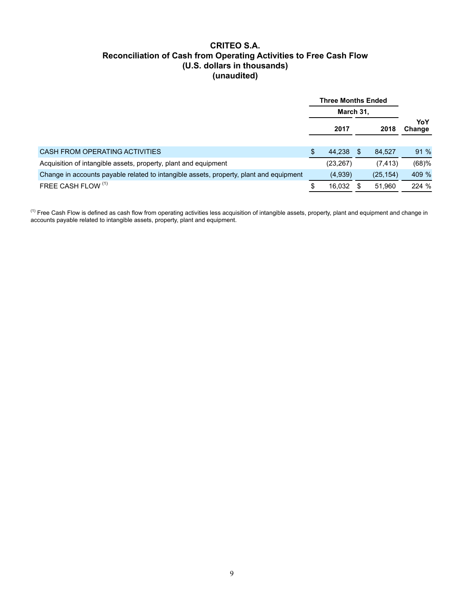## **CRITEO S.A. Reconciliation of Cash from Operating Activities to Free Cash Flow (U.S. dollars in thousands) (unaudited)**

|                                                                                        | <b>Three Months Ended</b> |           |     |           |               |  |
|----------------------------------------------------------------------------------------|---------------------------|-----------|-----|-----------|---------------|--|
|                                                                                        | March 31,                 |           |     |           |               |  |
|                                                                                        |                           | 2017      |     | 2018      | YoY<br>Change |  |
| CASH FROM OPERATING ACTIVITIES                                                         | \$                        | 44.238    | \$. | 84.527    | 91%           |  |
| Acquisition of intangible assets, property, plant and equipment                        |                           | (23, 267) |     | (7, 413)  | (68)%         |  |
| Change in accounts payable related to intangible assets, property, plant and equipment |                           | (4,939)   |     | (25, 154) | 409 %         |  |
| FREE CASH FLOW (1)                                                                     | \$                        | 16,032    | S.  | 51,960    | 224 %         |  |

 $^{(1)}$  Free Cash Flow is defined as cash flow from operating activities less acquisition of intangible assets, property, plant and equipment and change in accounts payable related to intangible assets, property, plant and equipment.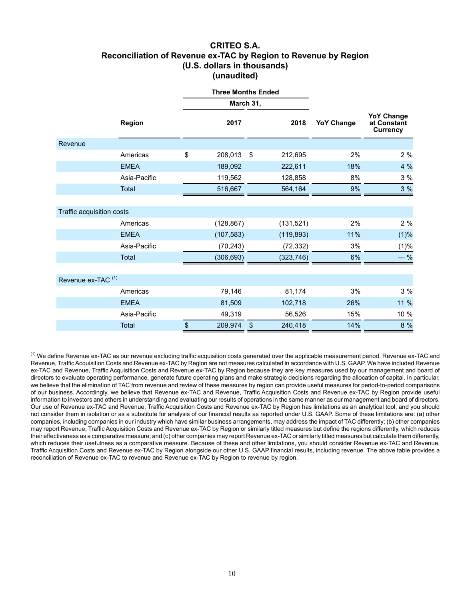### **CRITEO S.A. Reconciliation of Revenue ex-TAC by Region to Revenue by Region (U.S. dollars in thousands) (unaudited)**

|                               | <b>Three Months Ended</b> |    |            |    |            |                   |                                                     |
|-------------------------------|---------------------------|----|------------|----|------------|-------------------|-----------------------------------------------------|
|                               |                           |    | March 31,  |    |            |                   |                                                     |
|                               | <b>Region</b>             |    | 2017       |    | 2018       | <b>YoY Change</b> | <b>YoY Change</b><br>at Constant<br><b>Currency</b> |
| Revenue                       |                           |    |            |    |            |                   |                                                     |
|                               | Americas                  | \$ | 208,013    | \$ | 212,695    | 2%                | 2%                                                  |
|                               | <b>EMEA</b>               |    | 189,092    |    | 222,611    | 18%               | 4 %                                                 |
|                               | Asia-Pacific              |    | 119,562    |    | 128,858    | 8%                | 3%                                                  |
|                               | Total                     |    | 516,667    |    | 564,164    | 9%                | 3%                                                  |
|                               |                           |    |            |    |            |                   |                                                     |
| Traffic acquisition costs     |                           |    |            |    |            |                   |                                                     |
|                               | Americas                  |    | (128, 867) |    | (131, 521) | 2%                | 2%                                                  |
|                               | <b>EMEA</b>               |    | (107, 583) |    | (119, 893) | 11%               | (1)%                                                |
|                               | Asia-Pacific              |    | (70, 243)  |    | (72, 332)  | 3%                | (1)%                                                |
|                               | Total                     |    | (306, 693) |    | (323, 746) | 6%                | $-$ %                                               |
|                               |                           |    |            |    |            |                   |                                                     |
| Revenue ex-TAC <sup>(1)</sup> |                           |    |            |    |            |                   |                                                     |
|                               | Americas                  |    | 79,146     |    | 81,174     | 3%                | 3 %                                                 |
|                               | <b>EMEA</b>               |    | 81,509     |    | 102,718    | 26%               | 11 %                                                |
|                               | Asia-Pacific              |    | 49,319     |    | 56,526     | 15%               | 10 %                                                |
|                               | Total                     | \$ | 209,974    | \$ | 240,418    | 14%               | 8 %                                                 |

<sup>(1)</sup> We define Revenue ex-TAC as our revenue excluding traffic acquisition costs generated over the applicable measurement period. Revenue ex-TAC and Revenue, Traffic Acquisition Costs and Revenue ex-TAC by Region are not measures calculated in accordance with U.S. GAAP. We have included Revenue ex-TAC and Revenue, Traffic Acquisition Costs and Revenue ex-TAC by Region because they are key measures used by our management and board of directors to evaluate operating performance, generate future operating plans and make strategic decisions regarding the allocation of capital. In particular, we believe that the elimination of TAC from revenue and review of these measures by region can provide useful measures for period-to-period comparisons of our business. Accordingly, we believe that Revenue ex-TAC and Revenue, Traffic Acquisition Costs and Revenue ex-TAC by Region provide useful information to investors and others in understanding and evaluating our results of operations in the same manner as our management and board of directors. Our use of Revenue ex-TAC and Revenue, Traffic Acquisition Costs and Revenue ex-TAC by Region has limitations as an analytical tool, and you should not consider them in isolation or as a substitute for analysis of our financial results as reported under U.S. GAAP. Some of these limitations are: (a) other companies, including companies in our industry which have similar business arrangements, may address the impact of TAC differently; (b) other companies may report Revenue, Traffic Acquisition Costs and Revenue ex-TAC by Region or similarly titled measures but define the regions differently, which reduces their effectiveness as a comparative measure; and (c) other companies may report Revenue ex-TAC or similarly titled measures but calculate them differently, which reduces their usefulness as a comparative measure. Because of these and other limitations, you should consider Revenue ex-TAC and Revenue, Traffic Acquisition Costs and Revenue ex-TAC by Region alongside our other U.S. GAAP financial results, including revenue. The above table provides a reconciliation of Revenue ex-TAC to revenue and Revenue ex-TAC by Region to revenue by region.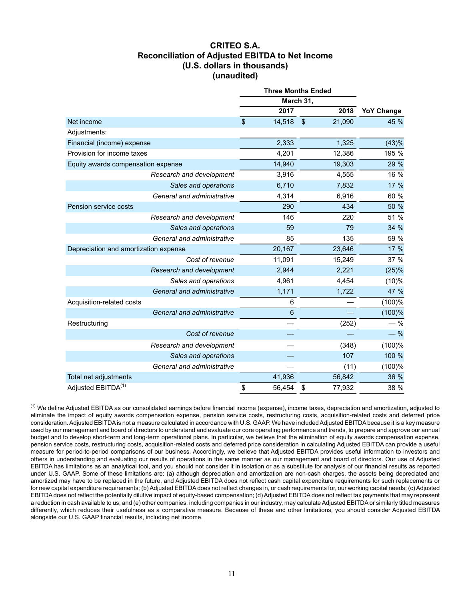## **CRITEO S.A. Reconciliation of Adjusted EBITDA to Net Income (U.S. dollars in thousands) (unaudited)**

|                                       |                                     | <b>Three Months Ended</b> |                   |  |
|---------------------------------------|-------------------------------------|---------------------------|-------------------|--|
|                                       |                                     | March 31,                 |                   |  |
|                                       | 2017                                | 2018                      | <b>YoY Change</b> |  |
| Net income                            | $\boldsymbol{\mathsf{S}}$<br>14,518 | $\frac{1}{2}$<br>21,090   | 45 %              |  |
| Adjustments:                          |                                     |                           |                   |  |
| Financial (income) expense            | 2,333                               | 1,325                     | (43)%             |  |
| Provision for income taxes            | 4,201                               | 12,386                    | 195 %             |  |
| Equity awards compensation expense    | 14,940                              | 19,303                    | 29 %              |  |
| Research and development              | 3,916                               | 4,555                     | 16 %              |  |
| Sales and operations                  | 6,710                               | 7,832                     | 17 %              |  |
| General and administrative            | 4,314                               | 6,916                     | 60 %              |  |
| Pension service costs                 | 290                                 | 434                       | 50 %              |  |
| Research and development              | 146                                 | 220                       | 51 %              |  |
| Sales and operations                  | 59                                  | 79                        | 34 %              |  |
| General and administrative            | 85                                  | 135                       | 59 %              |  |
| Depreciation and amortization expense | 20,167                              | 23,646                    | 17 %              |  |
| Cost of revenue                       | 11,091                              | 15,249                    | 37 %              |  |
| Research and development              | 2,944                               | 2,221                     | (25)%             |  |
| Sales and operations                  | 4,961                               | 4,454                     | (10)%             |  |
| General and administrative            | 1,171                               | 1,722                     | 47 %              |  |
| Acquisition-related costs             | 6                                   |                           | (100)%            |  |
| General and administrative            | $6\phantom{1}6$                     |                           | (100)%            |  |
| Restructuring                         |                                     | (252)                     | $-$ %             |  |
| Cost of revenue                       |                                     |                           | $-$ %             |  |
| Research and development              |                                     | (348)                     | (100)%            |  |
| Sales and operations                  |                                     | 107                       | 100 %             |  |
| General and administrative            |                                     | (11)                      | (100)%            |  |
| Total net adjustments                 | 41,936                              | 56,842                    | 36 %              |  |
| Adjusted EBITDA <sup>(1)</sup>        | \$<br>56,454                        | 77,932<br>\$              | 38 %              |  |

 $<sup>(1)</sup>$  We define Adjusted EBITDA as our consolidated earnings before financial income (expense), income taxes, depreciation and amortization, adjusted to</sup> eliminate the impact of equity awards compensation expense, pension service costs, restructuring costs, acquisition-related costs and deferred price consideration. Adjusted EBITDA is not a measure calculated in accordance with U.S. GAAP. We have included Adjusted EBITDA because it is a key measure used by our management and board of directors to understand and evaluate our core operating performance and trends, to prepare and approve our annual budget and to develop short-term and long-term operational plans. In particular, we believe that the elimination of equity awards compensation expense, pension service costs, restructuring costs, acquisition-related costs and deferred price consideration in calculating Adjusted EBITDA can provide a useful measure for period-to-period comparisons of our business. Accordingly, we believe that Adjusted EBITDA provides useful information to investors and others in understanding and evaluating our results of operations in the same manner as our management and board of directors. Our use of Adjusted EBITDA has limitations as an analytical tool, and you should not consider it in isolation or as a substitute for analysis of our financial results as reported under U.S. GAAP. Some of these limitations are: (a) although depreciation and amortization are non-cash charges, the assets being depreciated and amortized may have to be replaced in the future, and Adjusted EBITDA does not reflect cash capital expenditure requirements for such replacements or for new capital expenditure requirements; (b) Adjusted EBITDA does not reflect changes in, or cash requirements for, our working capital needs; (c) Adjusted EBITDA does not reflect the potentially dilutive impact of equity-based compensation; (d) Adjusted EBITDA does not reflect tax payments that may represent a reduction in cash available to us; and (e) other companies, including companies in our industry, may calculate Adjusted EBITDA or similarly titled measures differently, which reduces their usefulness as a comparative measure. Because of these and other limitations, you should consider Adjusted EBITDA alongside our U.S. GAAP financial results, including net income.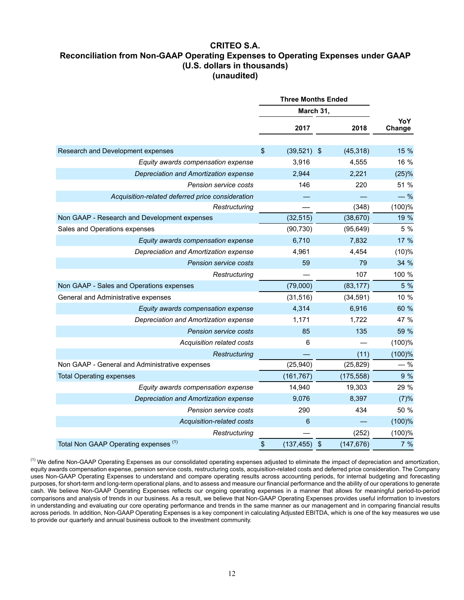# **CRITEO S.A. Reconciliation from Non-GAAP Operating Expenses to Operating Expenses under GAAP (U.S. dollars in thousands) (unaudited)**

|                                                  | <b>Three Months Ended</b>                     |            |               |  |  |  |
|--------------------------------------------------|-----------------------------------------------|------------|---------------|--|--|--|
|                                                  | March 31,                                     |            |               |  |  |  |
|                                                  | 2017                                          | 2018       | YoY<br>Change |  |  |  |
|                                                  |                                               |            |               |  |  |  |
| Research and Development expenses                | \$<br>$(39,521)$ \$                           | (45, 318)  | 15 %          |  |  |  |
| Equity awards compensation expense               | 3,916                                         | 4,555      | 16 %          |  |  |  |
| Depreciation and Amortization expense            | 2,944                                         | 2,221      | (25)%         |  |  |  |
| Pension service costs                            | 146                                           | 220        | 51 %          |  |  |  |
| Acquisition-related deferred price consideration |                                               |            | $-$ %         |  |  |  |
| Restructuring                                    |                                               | (348)      | (100)%        |  |  |  |
| Non GAAP - Research and Development expenses     | (32, 515)                                     | (38, 670)  | 19 %          |  |  |  |
| Sales and Operations expenses                    | (90, 730)                                     | (95, 649)  | 5 %           |  |  |  |
| Equity awards compensation expense               | 6,710                                         | 7,832      | 17 %          |  |  |  |
| Depreciation and Amortization expense            | 4,961                                         | 4,454      | (10)%         |  |  |  |
| Pension service costs                            | 59                                            | 79         | 34 %          |  |  |  |
| Restructuring                                    |                                               | 107        | 100 %         |  |  |  |
| Non GAAP - Sales and Operations expenses         | (79,000)                                      | (83, 177)  | 5 %           |  |  |  |
| General and Administrative expenses              | (31, 516)                                     | (34, 591)  | 10 %          |  |  |  |
| Equity awards compensation expense               | 4,314                                         | 6,916      | 60 %          |  |  |  |
| Depreciation and Amortization expense            | 1,171                                         | 1,722      | 47 %          |  |  |  |
| Pension service costs                            | 85                                            | 135        | 59 %          |  |  |  |
| Acquisition related costs                        | 6                                             |            | (100)%        |  |  |  |
| Restructuring                                    |                                               | (11)       | (100)%        |  |  |  |
| Non GAAP - General and Administrative expenses   | (25, 940)                                     | (25, 829)  | $-$ %         |  |  |  |
| <b>Total Operating expenses</b>                  | (161, 767)                                    | (175, 558) | 9 %           |  |  |  |
| Equity awards compensation expense               | 14,940                                        | 19,303     | 29 %          |  |  |  |
| Depreciation and Amortization expense            | 9,076                                         | 8,397      | (7)%          |  |  |  |
| Pension service costs                            | 290                                           | 434        | 50 %          |  |  |  |
| Acquisition-related costs                        | 6                                             |            | $(100)$ %     |  |  |  |
| Restructuring                                    |                                               | (252)      | (100)%        |  |  |  |
| Total Non GAAP Operating expenses (1)            | \$<br>$\boldsymbol{\mathsf{S}}$<br>(137, 455) | (147, 676) | 7%            |  |  |  |

<sup>(1)</sup> We define Non-GAAP Operating Expenses as our consolidated operating expenses adjusted to eliminate the impact of depreciation and amortization, equity awards compensation expense, pension service costs, restructuring costs, acquisition-related costs and deferred price consideration. The Company uses Non-GAAP Operating Expenses to understand and compare operating results across accounting periods, for internal budgeting and forecasting purposes, for short-term and long-term operational plans, and to assess and measure our financial performance and the ability of our operations to generate cash. We believe Non-GAAP Operating Expenses reflects our ongoing operating expenses in a manner that allows for meaningful period-to-period comparisons and analysis of trends in our business. As a result, we believe that Non-GAAP Operating Expenses provides useful information to investors in understanding and evaluating our core operating performance and trends in the same manner as our management and in comparing financial results across periods. In addition, Non-GAAP Operating Expenses is a key component in calculating Adjusted EBITDA, which is one of the key measures we use to provide our quarterly and annual business outlook to the investment community.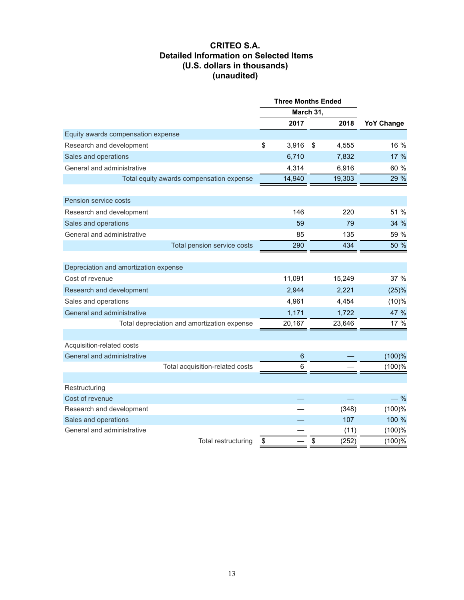## **CRITEO S.A. Detailed Information on Selected Items (U.S. dollars in thousands) (unaudited)**

|                                             | <b>Three Months Ended</b> |             |                   |
|---------------------------------------------|---------------------------|-------------|-------------------|
|                                             | March 31,                 |             |                   |
|                                             | 2017                      | 2018        | <b>YoY Change</b> |
| Equity awards compensation expense          |                           |             |                   |
| Research and development                    | \$<br>3,916               | \$<br>4,555 | 16 %              |
| Sales and operations                        | 6,710                     | 7,832       | 17 %              |
| General and administrative                  | 4,314                     | 6,916       | 60 %              |
| Total equity awards compensation expense    | 14,940                    | 19,303      | 29 %              |
|                                             |                           |             |                   |
| Pension service costs                       |                           |             |                   |
| Research and development                    | 146                       | 220         | 51 %              |
| Sales and operations                        | 59                        | 79          | 34 %              |
| General and administrative                  | 85                        | 135         | 59 %              |
| Total pension service costs                 | 290                       | 434         | 50 %              |
|                                             |                           |             |                   |
| Depreciation and amortization expense       |                           |             |                   |
| Cost of revenue                             | 11,091                    | 15,249      | 37 %              |
| Research and development                    | 2,944                     | 2,221       | (25)%             |
| Sales and operations                        | 4,961                     | 4,454       | (10)%             |
| General and administrative                  | 1,171                     | 1,722       | 47 %              |
| Total depreciation and amortization expense | 20,167                    | 23,646      | 17 %              |
|                                             |                           |             |                   |
| Acquisition-related costs                   |                           |             |                   |
| General and administrative                  | $\,6\,$                   |             | (100)%            |
| Total acquisition-related costs             | 6                         |             | (100)%            |
|                                             |                           |             |                   |
| Restructuring                               |                           |             |                   |
| Cost of revenue                             |                           |             | $-$ %             |
| Research and development                    |                           | (348)       | (100)%            |
| Sales and operations                        |                           | 107         | 100 %             |
| General and administrative                  |                           | (11)        | (100)%            |
| Total restructuring                         | \$                        | \$<br>(252) | (100)%            |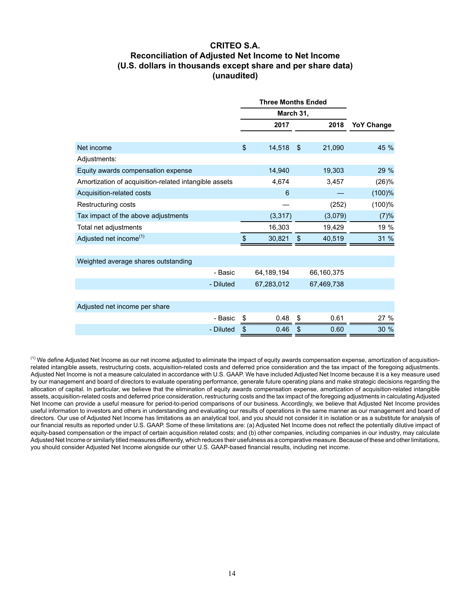# **CRITEO S.A. Reconciliation of Adjusted Net Income to Net Income (U.S. dollars in thousands except share and per share data) (unaudited)**

|                                                       |           | <b>Three Months Ended</b> |                |            |                   |
|-------------------------------------------------------|-----------|---------------------------|----------------|------------|-------------------|
|                                                       |           | March 31,                 |                |            |                   |
|                                                       |           | 2017                      |                | 2018       | <b>YoY Change</b> |
| Net income                                            |           | \$<br>14,518              | $\mathfrak{L}$ | 21,090     | 45 %              |
| Adjustments:                                          |           |                           |                |            |                   |
| Equity awards compensation expense                    |           | 14,940                    |                | 19,303     | 29 %              |
| Amortization of acquisition-related intangible assets |           | 4,674                     |                | 3,457      | (26)%             |
| Acquisition-related costs                             |           | 6                         |                |            | $(100)$ %         |
| Restructuring costs                                   |           |                           |                | (252)      | (100)%            |
| Tax impact of the above adjustments                   |           | (3, 317)                  |                | (3,079)    | (7)%              |
| Total net adjustments                                 |           | 16,303                    |                | 19,429     | 19 %              |
| Adjusted net income <sup>(1)</sup>                    |           | \$<br>30,821              | \$             | 40,519     | 31 %              |
| Weighted average shares outstanding                   |           |                           |                |            |                   |
|                                                       | - Basic   | 64,189,194                |                | 66,160,375 |                   |
|                                                       | - Diluted | 67,283,012                |                | 67,469,738 |                   |
| Adjusted net income per share                         |           |                           |                |            |                   |
|                                                       | - Basic   | \$<br>0.48                | \$             | 0.61       | 27 %              |
|                                                       | - Diluted | \$<br>0.46                | \$             | 0.60       | 30 %              |

 $<sup>(1)</sup>$  We define Adjusted Net Income as our net income adjusted to eliminate the impact of equity awards compensation expense, amortization of acquisition-</sup> related intangible assets, restructuring costs, acquisition-related costs and deferred price consideration and the tax impact of the foregoing adjustments. Adjusted Net Income is not a measure calculated in accordance with U.S. GAAP. We have included Adjusted Net Income because it is a key measure used by our management and board of directors to evaluate operating performance, generate future operating plans and make strategic decisions regarding the allocation of capital. In particular, we believe that the elimination of equity awards compensation expense, amortization of acquisition-related intangible assets, acquisition-related costs and deferred price consideration, restructuring costs and the tax impact of the foregoing adjustments in calculating Adjusted Net Income can provide a useful measure for period-to-period comparisons of our business. Accordingly, we believe that Adjusted Net Income provides useful information to investors and others in understanding and evaluating our results of operations in the same manner as our management and board of directors. Our use of Adjusted Net Income has limitations as an analytical tool, and you should not consider it in isolation or as a substitute for analysis of our financial results as reported under U.S. GAAP. Some of these limitations are: (a) Adjusted Net Income does not reflect the potentially dilutive impact of equity-based compensation or the impact of certain acquisition related costs; and (b) other companies, including companies in our industry, may calculate Adjusted Net Income or similarly titled measures differently, which reduces their usefulness as a comparative measure. Because of these and other limitations, you should consider Adjusted Net Income alongside our other U.S. GAAP-based financial results, including net income.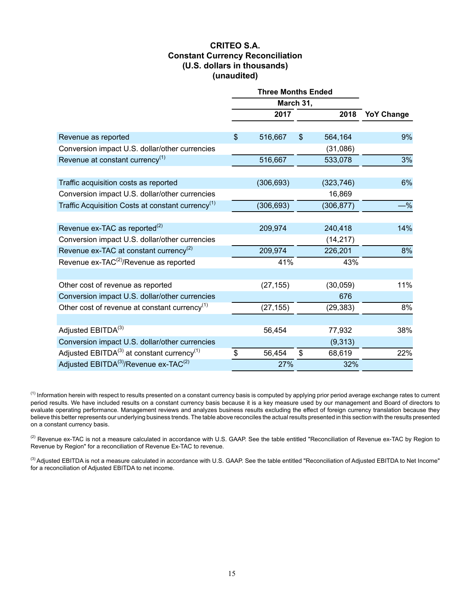### **CRITEO S.A. Constant Currency Reconciliation (U.S. dollars in thousands) (unaudited)**

|                                                               | <b>Three Months Ended</b> |                |            |                   |  |  |
|---------------------------------------------------------------|---------------------------|----------------|------------|-------------------|--|--|
|                                                               | March 31,                 |                |            |                   |  |  |
|                                                               | 2017                      |                | 2018       | <b>YoY Change</b> |  |  |
|                                                               |                           |                |            |                   |  |  |
| Revenue as reported                                           | \$<br>516,667             | $\mathfrak{S}$ | 564,164    | 9%                |  |  |
| Conversion impact U.S. dollar/other currencies                |                           |                | (31,086)   |                   |  |  |
| Revenue at constant currency $(1)$                            | 516,667                   |                | 533,078    | 3%                |  |  |
| Traffic acquisition costs as reported                         | (306, 693)                |                | (323, 746) | 6%                |  |  |
| Conversion impact U.S. dollar/other currencies                |                           |                | 16,869     |                   |  |  |
| Traffic Acquisition Costs at constant currency <sup>(1)</sup> | (306, 693)                |                | (306, 877) | $-$ %             |  |  |
| Revenue ex-TAC as reported <sup>(2)</sup>                     | 209,974                   |                | 240,418    | 14%               |  |  |
| Conversion impact U.S. dollar/other currencies                |                           |                | (14, 217)  |                   |  |  |
| Revenue ex-TAC at constant currency <sup>(2)</sup>            | 209,974                   |                | 226,201    | 8%                |  |  |
| Revenue ex-TAC <sup>(2)</sup> /Revenue as reported            | 41%                       |                | 43%        |                   |  |  |
|                                                               |                           |                |            |                   |  |  |
| Other cost of revenue as reported                             | (27, 155)                 |                | (30, 059)  | 11%               |  |  |
| Conversion impact U.S. dollar/other currencies                |                           |                | 676        |                   |  |  |
| Other cost of revenue at constant currency <sup>(1)</sup>     | (27, 155)                 |                | (29, 383)  | 8%                |  |  |
|                                                               |                           |                |            |                   |  |  |
| Adjusted EBITDA <sup>(3)</sup>                                | 56,454                    |                | 77,932     | 38%               |  |  |
| Conversion impact U.S. dollar/other currencies                |                           |                | (9,313)    |                   |  |  |
| Adjusted $EBITDA(3)$ at constant currency <sup>(1)</sup>      | \$<br>56,454              | $\mathfrak{S}$ | 68,619     | 22%               |  |  |
| Adjusted EBITDA <sup>(3)</sup> /Revenue ex-TAC <sup>(2)</sup> | 27%                       |                | 32%        |                   |  |  |

 $<sup>(1)</sup>$  Information herein with respect to results presented on a constant currency basis is computed by applying prior period average exchange rates to current</sup> period results. We have included results on a constant currency basis because it is a key measure used by our management and Board of directors to evaluate operating performance. Management reviews and analyzes business results excluding the effect of foreign currency translation because they believe this better represents our underlying business trends. The table above reconciles the actual results presented in this section with the results presented on a constant currency basis.

 $^{(2)}$  Revenue ex-TAC is not a measure calculated in accordance with U.S. GAAP. See the table entitled "Reconciliation of Revenue ex-TAC by Region to Revenue by Region" for a reconciliation of Revenue Ex-TAC to revenue.

<sup>(3)</sup> Adjusted EBITDA is not a measure calculated in accordance with U.S. GAAP. See the table entitled "Reconciliation of Adjusted EBITDA to Net Income" for a reconciliation of Adjusted EBITDA to net income.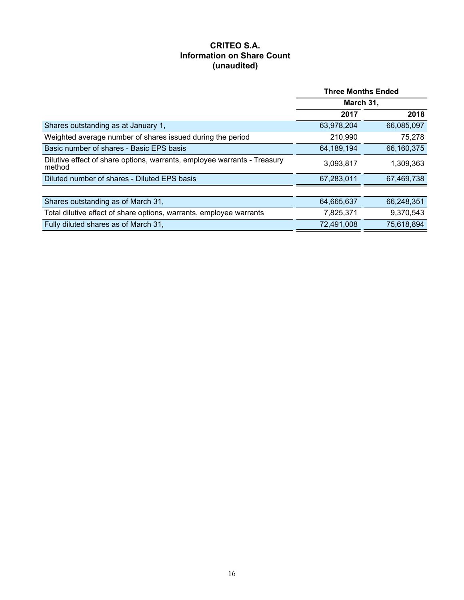# **CRITEO S.A. Information on Share Count (unaudited)**

|                                                                                    | <b>Three Months Ended</b> |            |  |  |
|------------------------------------------------------------------------------------|---------------------------|------------|--|--|
|                                                                                    | March 31,                 |            |  |  |
|                                                                                    | 2017                      | 2018       |  |  |
| Shares outstanding as at January 1,                                                | 63,978,204                | 66,085,097 |  |  |
| Weighted average number of shares issued during the period                         | 210,990                   | 75,278     |  |  |
| Basic number of shares - Basic EPS basis                                           | 64,189,194                | 66,160,375 |  |  |
| Dilutive effect of share options, warrants, employee warrants - Treasury<br>method | 3,093,817                 | 1,309,363  |  |  |
| Diluted number of shares - Diluted EPS basis                                       | 67,283,011                | 67,469,738 |  |  |
|                                                                                    |                           |            |  |  |
| Shares outstanding as of March 31,                                                 | 64,665,637                | 66,248,351 |  |  |
| Total dilutive effect of share options, warrants, employee warrants                | 7,825,371                 | 9,370,543  |  |  |
| Fully diluted shares as of March 31,                                               | 72,491,008                | 75,618,894 |  |  |